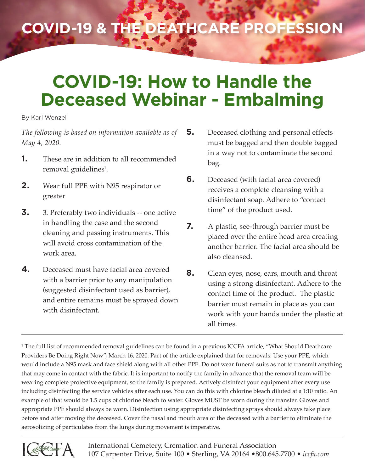# **COVID-19 & the Deathcare Profession**

# **COVID-19: How to Handle the Deceased Webinar - Embalming**

#### By Karl Wenzel

*The following is based on information available as of May 4, 2020.*

- **1.** These are in addition to all recommended removal guidelines<sup>1</sup>.
- **2.** Wear full PPE with N95 respirator or greater
- **3.** 3. Preferably two individuals -- one active in handling the case and the second cleaning and passing instruments. This will avoid cross contamination of the work area.
- **4.** Deceased must have facial area covered with a barrier prior to any manipulation (suggested disinfectant used as barrier), and entire remains must be sprayed down with disinfectant.
- **5.** Deceased clothing and personal effects must be bagged and then double bagged in a way not to contaminate the second bag.
- **6.** Deceased (with facial area covered) receives a complete cleansing with a disinfectant soap. Adhere to "contact time" of the product used.
- **7.** A plastic, see-through barrier must be placed over the entire head area creating another barrier. The facial area should be also cleansed.
- **8.** Clean eyes, nose, ears, mouth and throat using a strong disinfectant. Adhere to the contact time of the product. The plastic barrier must remain in place as you can work with your hands under the plastic at all times.

1 The full list of recommended removal guidelines can be found in a previous ICCFA article, "What Should Deathcare Providers Be Doing Right Now", March 16, 2020. Part of the article explained that for removals: Use your PPE, which would include a N95 mask and face shield along with all other PPE. Do not wear funeral suits as not to transmit anything that may come in contact with the fabric. It is important to notify the family in advance that the removal team will be wearing complete protective equipment, so the family is prepared. Actively disinfect your equipment after every use including disinfecting the service vehicles after each use. You can do this with chlorine bleach diluted at a 1:10 ratio. An example of that would be 1.5 cups of chlorine bleach to water. Gloves MUST be worn during the transfer. Gloves and appropriate PPE should always be worn. Disinfection using appropriate disinfecting sprays should always take place before and after moving the deceased. Cover the nasal and mouth area of the deceased with a barrier to eliminate the aerosolizing of particulates from the lungs during movement is imperative.

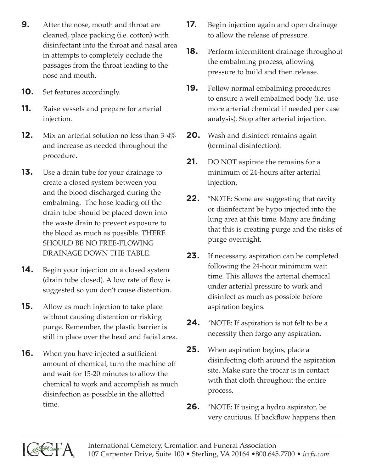- **9.** After the nose, mouth and throat are cleaned, place packing (i.e. cotton) with disinfectant into the throat and nasal area in attempts to completely occlude the passages from the throat leading to the nose and mouth.
- **10.** Set features accordingly.
- **11.** Raise vessels and prepare for arterial injection.
- **12.** Mix an arterial solution no less than 3-4% and increase as needed throughout the procedure.
- **13.** Use a drain tube for your drainage to create a closed system between you and the blood discharged during the embalming. The hose leading off the drain tube should be placed down into the waste drain to prevent exposure to the blood as much as possible. THERE SHOULD BE NO FREE-FLOWING DRAINAGE DOWN THE TABLE.
- **14.** Begin your injection on a closed system (drain tube closed). A low rate of flow is suggested so you don't cause distention.
- **15.** Allow as much injection to take place without causing distention or risking purge. Remember, the plastic barrier is still in place over the head and facial area.
- **16.** When you have injected a sufficient amount of chemical, turn the machine off and wait for 15-20 minutes to allow the chemical to work and accomplish as much disinfection as possible in the allotted time.
- **17.** Begin injection again and open drainage to allow the release of pressure.
- **18.** Perform intermittent drainage throughout the embalming process, allowing pressure to build and then release.
- **19.** Follow normal embalming procedures to ensure a well embalmed body (i.e. use more arterial chemical if needed per case analysis). Stop after arterial injection.
- **20.** Wash and disinfect remains again (terminal disinfection).
- **21.** DO NOT aspirate the remains for a minimum of 24-hours after arterial injection.
- **22.** \*NOTE: Some are suggesting that cavity or disinfectant be hypo injected into the lung area at this time. Many are finding that this is creating purge and the risks of purge overnight.
- **23.** If necessary, aspiration can be completed following the 24-hour minimum wait time. This allows the arterial chemical under arterial pressure to work and disinfect as much as possible before aspiration begins.
- **24.** \*NOTE: If aspiration is not felt to be a necessity then forgo any aspiration.
- **25.** When aspiration begins, place a disinfecting cloth around the aspiration site. Make sure the trocar is in contact with that cloth throughout the entire process.
- **26.** \*NOTE: If using a hydro aspirator, be very cautious. If backflow happens then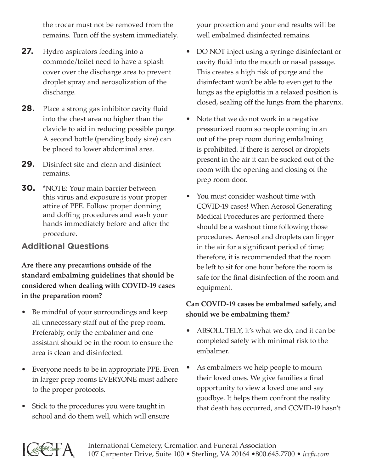the trocar must not be removed from the remains. Turn off the system immediately.

- **27.** Hydro aspirators feeding into a commode/toilet need to have a splash cover over the discharge area to prevent droplet spray and aerosolization of the discharge.
- **28.** Place a strong gas inhibitor cavity fluid into the chest area no higher than the clavicle to aid in reducing possible purge. A second bottle (pending body size) can be placed to lower abdominal area.
- **29.** Disinfect site and clean and disinfect remains.
- **30.** \*NOTE: Your main barrier between this virus and exposure is your proper attire of PPE. Follow proper donning and doffing procedures and wash your hands immediately before and after the procedure.

## **Additional Questions**

**Are there any precautions outside of the standard embalming guidelines that should be considered when dealing with COVID-19 cases in the preparation room?**

- Be mindful of your surroundings and keep all unnecessary staff out of the prep room. Preferably, only the embalmer and one assistant should be in the room to ensure the area is clean and disinfected.
- Everyone needs to be in appropriate PPE. Even in larger prep rooms EVERYONE must adhere to the proper protocols.
- Stick to the procedures you were taught in school and do them well, which will ensure

your protection and your end results will be well embalmed disinfected remains.

- DO NOT inject using a syringe disinfectant or cavity fluid into the mouth or nasal passage. This creates a high risk of purge and the disinfectant won't be able to even get to the lungs as the epiglottis in a relaxed position is closed, sealing off the lungs from the pharynx.
- Note that we do not work in a negative pressurized room so people coming in an out of the prep room during embalming is prohibited. If there is aerosol or droplets present in the air it can be sucked out of the room with the opening and closing of the prep room door.
- You must consider washout time with COVID-19 cases! When Aerosol Generating Medical Procedures are performed there should be a washout time following those procedures. Aerosol and droplets can linger in the air for a significant period of time; therefore, it is recommended that the room be left to sit for one hour before the room is safe for the final disinfection of the room and equipment.

### **Can COVID-19 cases be embalmed safely, and should we be embalming them?**

- ABSOLUTELY, it's what we do, and it can be completed safely with minimal risk to the embalmer.
- As embalmers we help people to mourn their loved ones. We give families a final opportunity to view a loved one and say goodbye. It helps them confront the reality that death has occurred, and COVID-19 hasn't